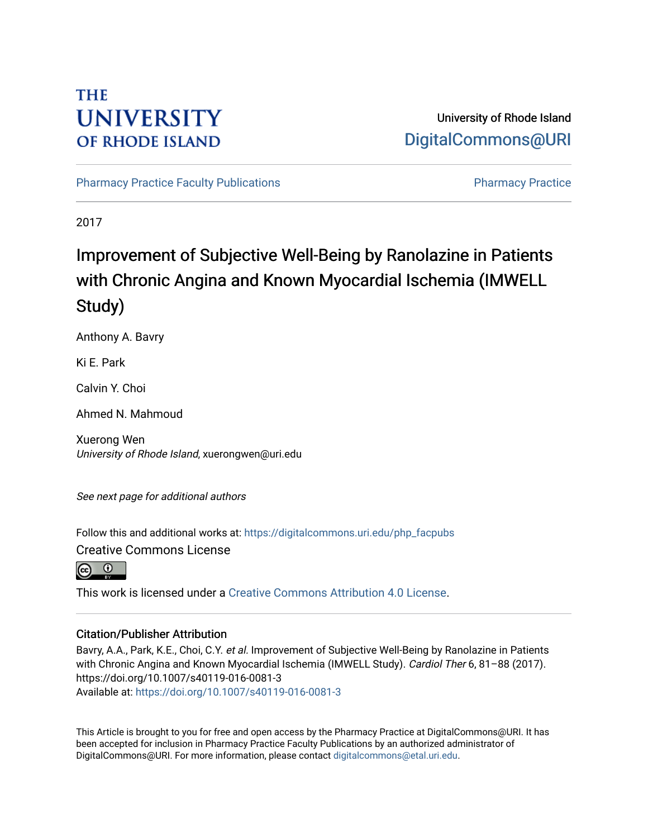# **THE UNIVERSITY OF RHODE ISLAND**

## University of Rhode Island [DigitalCommons@URI](https://digitalcommons.uri.edu/)

[Pharmacy Practice Faculty Publications](https://digitalcommons.uri.edu/php_facpubs) **Pharmacy Practice** Pharmacy Practice

2017

# Improvement of Subjective Well-Being by Ranolazine in Patients with Chronic Angina and Known Myocardial Ischemia (IMWELL Study)

Anthony A. Bavry

Ki E. Park

Calvin Y. Choi

Ahmed N. Mahmoud

Xuerong Wen University of Rhode Island, xuerongwen@uri.edu

See next page for additional authors

Follow this and additional works at: [https://digitalcommons.uri.edu/php\\_facpubs](https://digitalcommons.uri.edu/php_facpubs?utm_source=digitalcommons.uri.edu%2Fphp_facpubs%2F210&utm_medium=PDF&utm_campaign=PDFCoverPages) 

Creative Commons License

 $\boxed{6}$   $\boxed{0}$ 

This work is licensed under a [Creative Commons Attribution 4.0 License](https://creativecommons.org/licenses/by/4.0/).

#### Citation/Publisher Attribution

Bavry, A.A., Park, K.E., Choi, C.Y. et al. Improvement of Subjective Well-Being by Ranolazine in Patients with Chronic Angina and Known Myocardial Ischemia (IMWELL Study). Cardiol Ther 6, 81-88 (2017). https://doi.org/10.1007/s40119-016-0081-3 Available at:<https://doi.org/10.1007/s40119-016-0081-3>

This Article is brought to you for free and open access by the Pharmacy Practice at DigitalCommons@URI. It has been accepted for inclusion in Pharmacy Practice Faculty Publications by an authorized administrator of DigitalCommons@URI. For more information, please contact [digitalcommons@etal.uri.edu.](mailto:digitalcommons@etal.uri.edu)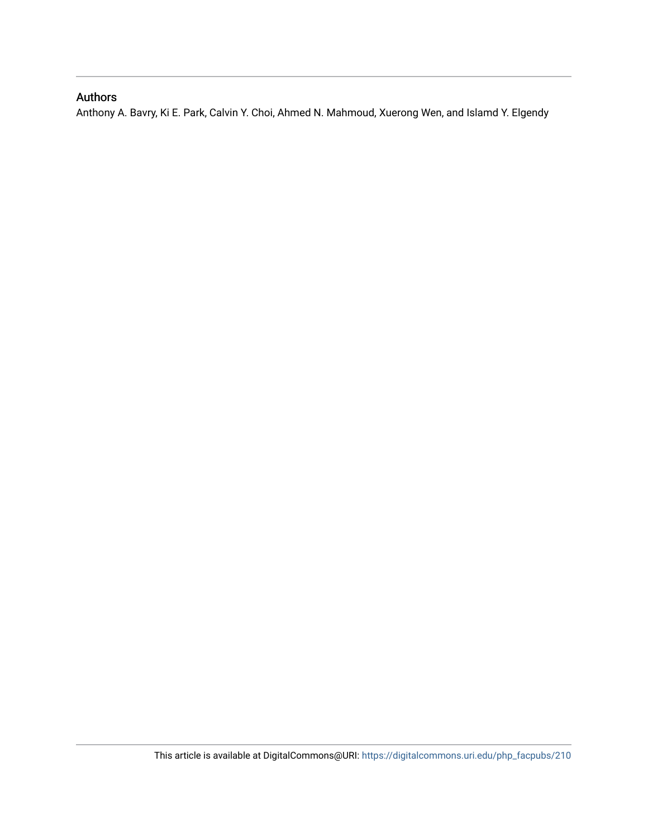## Authors

Anthony A. Bavry, Ki E. Park, Calvin Y. Choi, Ahmed N. Mahmoud, Xuerong Wen, and Islamd Y. Elgendy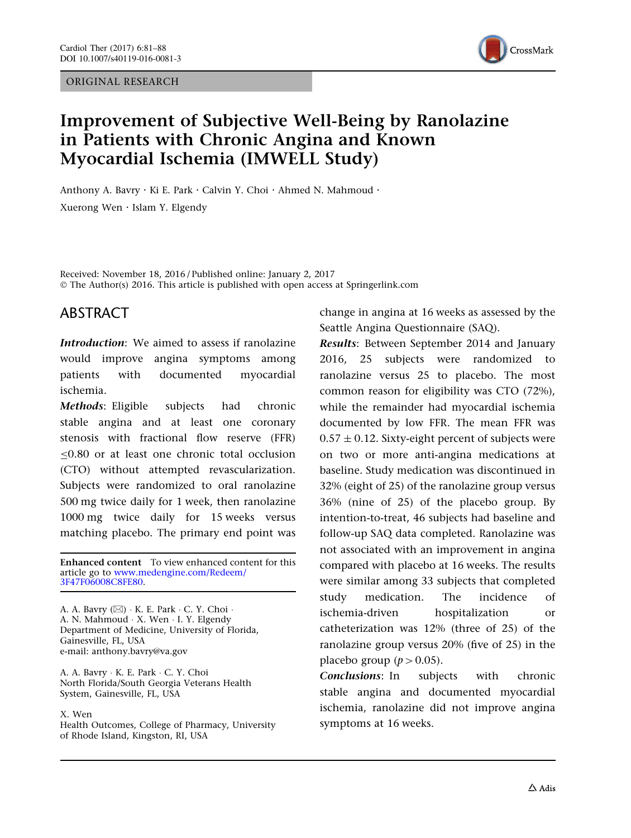ORIGINAL RESEARCH



## Improvement of Subjective Well-Being by Ranolazine in Patients with Chronic Angina and Known Myocardial Ischemia (IMWELL Study)

Anthony A. Bavry · Ki E. Park · Calvin Y. Choi · Ahmed N. Mahmoud · Xuerong Wen . Islam Y. Elgendy

Received: November 18, 2016 / Published online: January 2, 2017 © The Author(s) 2016. This article is published with open access at Springerlink.com

#### ABSTRACT

Introduction: We aimed to assess if ranolazine would improve angina symptoms among patients with documented myocardial ischemia.

Methods: Eligible subjects had chronic stable angina and at least one coronary stenosis with fractional flow reserve (FFR)  $0.80$  or at least one chronic total occlusion (CTO) without attempted revascularization. Subjects were randomized to oral ranolazine 500 mg twice daily for 1 week, then ranolazine 1000 mg twice daily for 15 weeks versus matching placebo. The primary end point was

Enhanced content To view enhanced content for this article go to [www.medengine.com/Redeem/](http://www.medengine.com/Redeem/3F47F06008C8FE80) [3F47F06008C8FE80.](http://www.medengine.com/Redeem/3F47F06008C8FE80)

A. A. Bavry (⊠) · K. E. Park · C. Y. Choi · A. N. Mahmoud - X. Wen - I. Y. Elgendy Department of Medicine, University of Florida, Gainesville, FL, USA e-mail: anthony.bavry@va.gov

A. A. Bavry - K. E. Park - C. Y. Choi North Florida/South Georgia Veterans Health System, Gainesville, FL, USA

#### X. Wen

Health Outcomes, College of Pharmacy, University of Rhode Island, Kingston, RI, USA

change in angina at 16 weeks as assessed by the Seattle Angina Questionnaire (SAQ).

Results: Between September 2014 and January 2016, 25 subjects were randomized to ranolazine versus 25 to placebo. The most common reason for eligibility was CTO (72%), while the remainder had myocardial ischemia documented by low FFR. The mean FFR was  $0.57 \pm 0.12$ . Sixty-eight percent of subjects were on two or more anti-angina medications at baseline. Study medication was discontinued in 32% (eight of 25) of the ranolazine group versus 36% (nine of 25) of the placebo group. By intention-to-treat, 46 subjects had baseline and follow-up SAQ data completed. Ranolazine was not associated with an improvement in angina compared with placebo at 16 weeks. The results were similar among 33 subjects that completed study medication. The incidence of ischemia-driven hospitalization or catheterization was 12% (three of 25) of the ranolazine group versus 20% (five of 25) in the placebo group ( $p > 0.05$ ).

Conclusions: In subjects with chronic stable angina and documented myocardial ischemia, ranolazine did not improve angina symptoms at 16 weeks.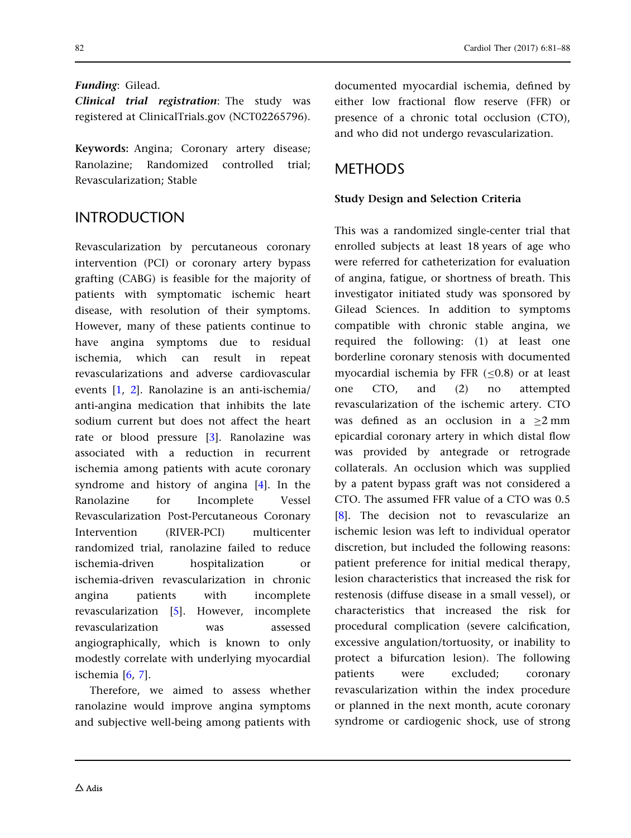#### Funding: Gilead.

Clinical trial registration: The study was registered at ClinicalTrials.gov (NCT02265796).

Keywords: Angina; Coronary artery disease; Ranolazine; Randomized controlled trial; Revascularization; Stable

## INTRODUCTION

Revascularization by percutaneous coronary intervention (PCI) or coronary artery bypass grafting (CABG) is feasible for the majority of patients with symptomatic ischemic heart disease, with resolution of their symptoms. However, many of these patients continue to have angina symptoms due to residual ischemia, which can result in repeat revascularizations and adverse cardiovascular events [\[1](#page-8-0), [2\]](#page-8-0). Ranolazine is an anti-ischemia/ anti-angina medication that inhibits the late sodium current but does not affect the heart rate or blood pressure [\[3](#page-8-0)]. Ranolazine was associated with a reduction in recurrent ischemia among patients with acute coronary syndrome and history of angina [\[4](#page-8-0)]. In the Ranolazine for Incomplete Vessel Revascularization Post-Percutaneous Coronary Intervention (RIVER-PCI) multicenter randomized trial, ranolazine failed to reduce ischemia-driven hospitalization or ischemia-driven revascularization in chronic angina patients with incomplete revascularization [[5](#page-8-0)]. However, incomplete revascularization was assessed angiographically, which is known to only modestly correlate with underlying myocardial ischemia [[6](#page-8-0), [7](#page-8-0)].

Therefore, we aimed to assess whether ranolazine would improve angina symptoms and subjective well-being among patients with documented myocardial ischemia, defined by either low fractional flow reserve (FFR) or presence of a chronic total occlusion (CTO), and who did not undergo revascularization.

## **METHODS**

#### Study Design and Selection Criteria

This was a randomized single-center trial that enrolled subjects at least 18 years of age who were referred for catheterization for evaluation of angina, fatigue, or shortness of breath. This investigator initiated study was sponsored by Gilead Sciences. In addition to symptoms compatible with chronic stable angina, we required the following: (1) at least one borderline coronary stenosis with documented myocardial ischemia by FFR  $(<0.8)$  or at least one CTO, and (2) no attempted revascularization of the ischemic artery. CTO was defined as an occlusion in a  $\geq 2$  mm epicardial coronary artery in which distal flow was provided by antegrade or retrograde collaterals. An occlusion which was supplied by a patent bypass graft was not considered a CTO. The assumed FFR value of a CTO was 0.5 [\[8](#page-8-0)]. The decision not to revascularize an ischemic lesion was left to individual operator discretion, but included the following reasons: patient preference for initial medical therapy, lesion characteristics that increased the risk for restenosis (diffuse disease in a small vessel), or characteristics that increased the risk for procedural complication (severe calcification, excessive angulation/tortuosity, or inability to protect a bifurcation lesion). The following patients were excluded; coronary revascularization within the index procedure or planned in the next month, acute coronary syndrome or cardiogenic shock, use of strong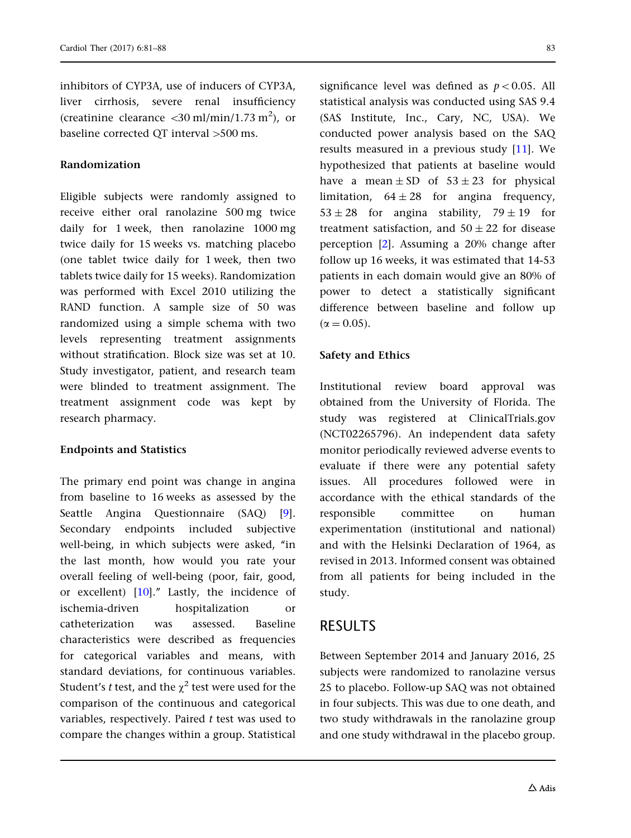inhibitors of CYP3A, use of inducers of CYP3A, liver cirrhosis, severe renal insufficiency (creatinine clearance  $\langle 30 \text{ ml/min}/1.73 \text{ m}^2 \rangle$ , or baseline corrected QT interval >500 ms.

#### Randomization

Eligible subjects were randomly assigned to receive either oral ranolazine 500 mg twice daily for 1 week, then ranolazine 1000 mg twice daily for 15 weeks vs. matching placebo (one tablet twice daily for 1 week, then two tablets twice daily for 15 weeks). Randomization was performed with Excel 2010 utilizing the RAND function. A sample size of 50 was randomized using a simple schema with two levels representing treatment assignments without stratification. Block size was set at 10. Study investigator, patient, and research team were blinded to treatment assignment. The treatment assignment code was kept by research pharmacy.

#### Endpoints and Statistics

The primary end point was change in angina from baseline to 16 weeks as assessed by the Seattle Angina Questionnaire (SAQ) [\[9\]](#page-8-0). Secondary endpoints included subjective well-being, in which subjects were asked, "in the last month, how would you rate your overall feeling of well-being (poor, fair, good, or excellent) [\[10\]](#page-8-0).'' Lastly, the incidence of ischemia-driven hospitalization or catheterization was assessed. Baseline characteristics were described as frequencies for categorical variables and means, with standard deviations, for continuous variables. Student's *t* test, and the  $\chi^2$  test were used for the comparison of the continuous and categorical variables, respectively. Paired  $t$  test was used to compare the changes within a group. Statistical

significance level was defined as  $p < 0.05$ . All statistical analysis was conducted using SAS 9.4 (SAS Institute, Inc., Cary, NC, USA). We conducted power analysis based on the SAQ results measured in a previous study [[11](#page-8-0)]. We hypothesized that patients at baseline would have a mean  $\pm$  SD of  $53 \pm 23$  for physical limitation,  $64 \pm 28$  for angina frequency,  $53 \pm 28$  for angina stability,  $79 \pm 19$  for treatment satisfaction, and  $50 \pm 22$  for disease perception [[2](#page-8-0)]. Assuming a 20% change after follow up 16 weeks, it was estimated that 14-53 patients in each domain would give an 80% of power to detect a statistically significant difference between baseline and follow up  $(\alpha = 0.05)$ .

#### Safety and Ethics

Institutional review board approval was obtained from the University of Florida. The study was registered at ClinicalTrials.gov (NCT02265796). An independent data safety monitor periodically reviewed adverse events to evaluate if there were any potential safety issues. All procedures followed were in accordance with the ethical standards of the responsible committee on human experimentation (institutional and national) and with the Helsinki Declaration of 1964, as revised in 2013. Informed consent was obtained from all patients for being included in the study.

#### RESULTS

Between September 2014 and January 2016, 25 subjects were randomized to ranolazine versus 25 to placebo. Follow-up SAQ was not obtained in four subjects. This was due to one death, and two study withdrawals in the ranolazine group and one study withdrawal in the placebo group.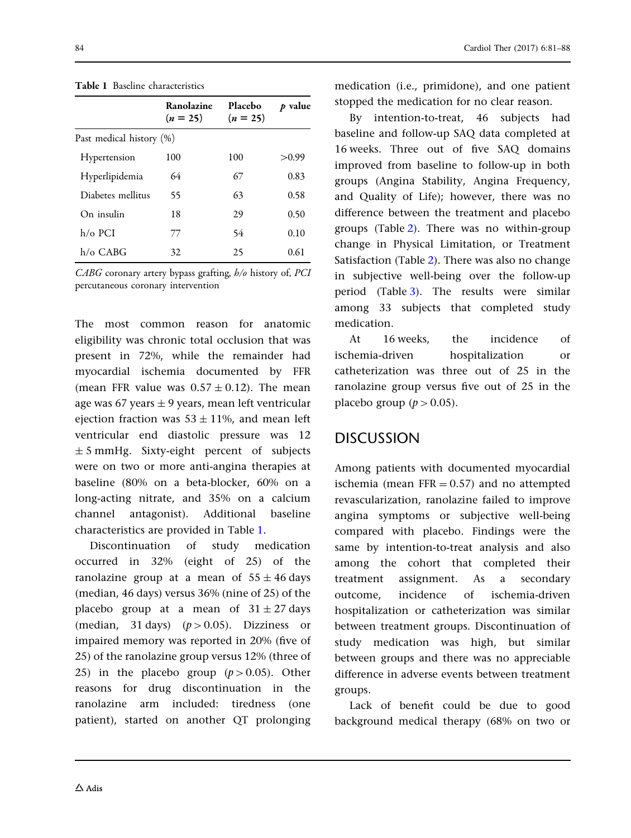|                          | Ranolazine<br>$(n = 25)$ | Placebo<br>$(n = 25)$ | p value |
|--------------------------|--------------------------|-----------------------|---------|
| Past medical history (%) |                          |                       |         |
| Hypertension             | 100                      | 100                   | >0.99   |
| Hyperlipidemia           | 64                       | 67                    | 0.83    |
| Diabetes mellitus        | 55                       | 63                    | 0.58    |
| On insulin               | 18                       | 29                    | 0.50    |
| $h/\alpha$ PCI           | 77                       | 54                    | 0.10    |
| $h/\alpha$ CABG          | 32                       | 25                    | 0.61    |

Table 1 Baseline characteristics

 $CABG$  coronary artery bypass grafting,  $h/o$  history of, PCI percutaneous coronary intervention

The most common reason for anatomic eligibility was chronic total occlusion that was present in 72%, while the remainder had myocardial ischemia documented by FFR (mean FFR value was  $0.57 \pm 0.12$ ). The mean age was 67 years  $\pm$  9 years, mean left ventricular ejection fraction was  $53 \pm 11$ %, and mean left ventricular end diastolic pressure was 12  $\pm$  5 mmHg. Sixty-eight percent of subjects were on two or more anti-angina therapies at baseline (80% on a beta-blocker, 60% on a long-acting nitrate, and 35% on a calcium channel antagonist). Additional baseline characteristics are provided in Table 1.

Discontinuation of study medication occurred in 32% (eight of 25) of the ranolazine group at a mean of  $55 \pm 46$  days (median, 46 days) versus 36% (nine of 25) of the placebo group at a mean of  $31 \pm 27$  days (median, 31 days) ( $p > 0.05$ ). Dizziness or impaired memory was reported in 20% (five of 25) of the ranolazine group versus 12% (three of 25) in the placebo group  $(p>0.05)$ . Other reasons for drug discontinuation in the ranolazine arm included: tiredness (one patient), started on another QT prolonging

medication (i.e., primidone), and one patient stopped the medication for no clear reason.

By intention-to-treat, 46 subjects had baseline and follow-up SAQ data completed at 16 weeks. Three out of five SAQ domains improved from baseline to follow-up in both groups (Angina Stability, Angina Frequency, and Quality of Life); however, there was no difference between the treatment and placebo groups (Table [2](#page-6-0)). There was no within-group change in Physical Limitation, or Treatment Satisfaction (Table [2\)](#page-6-0). There was also no change in subjective well-being over the follow-up period (Table [3](#page-7-0)). The results were similar among 33 subjects that completed study medication.

At 16 weeks, the incidence of ischemia-driven hospitalization or catheterization was three out of 25 in the ranolazine group versus five out of 25 in the placebo group ( $p > 0.05$ ).

### DISCUSSION

Among patients with documented myocardial ischemia (mean  $FFR = 0.57$ ) and no attempted revascularization, ranolazine failed to improve angina symptoms or subjective well-being compared with placebo. Findings were the same by intention-to-treat analysis and also among the cohort that completed their treatment assignment. As a secondary outcome, incidence of ischemia-driven hospitalization or catheterization was similar between treatment groups. Discontinuation of study medication was high, but similar between groups and there was no appreciable difference in adverse events between treatment groups.

Lack of benefit could be due to good background medical therapy (68% on two or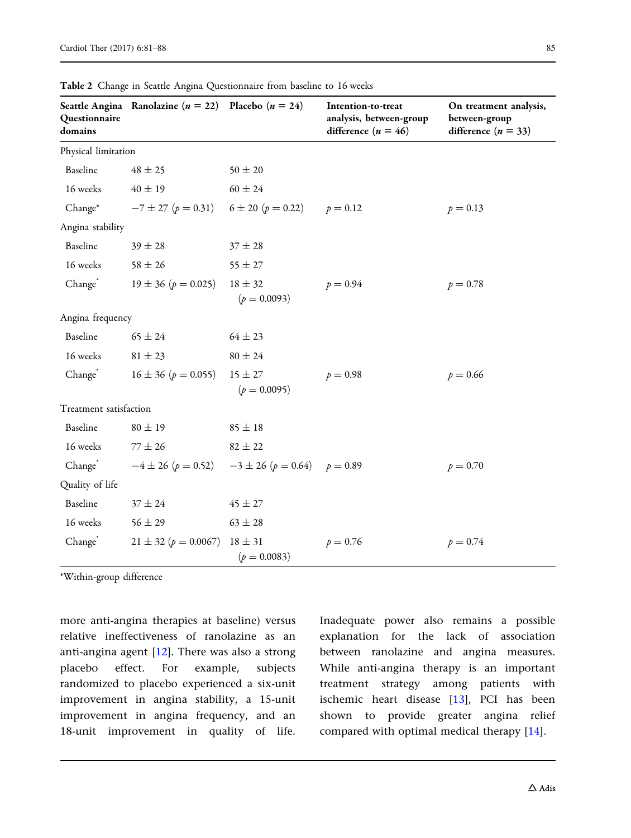| Questionnaire<br>domains | Seattle Angina Ranolazine ( $n = 22$ ) Placebo ( $n = 24$ )     |             | Intention-to-treat<br>analysis, between-gro<br>difference $(n = 46)$ |
|--------------------------|-----------------------------------------------------------------|-------------|----------------------------------------------------------------------|
| Physical limitation      |                                                                 |             |                                                                      |
| Baseline                 | $48 \pm 25$                                                     | $50 \pm 20$ |                                                                      |
| 16 weeks                 | $40 \pm 19$                                                     | $60 \pm 24$ |                                                                      |
| Change <sup>*</sup>      | $-7 \pm 27$ ( $p = 0.31$ ) $6 \pm 20$ ( $p = 0.22$ ) $p = 0.12$ |             |                                                                      |
| Angina stability         |                                                                 |             |                                                                      |
| Baseline                 | $39 \pm 28$                                                     | $37 \pm 28$ |                                                                      |
|                          |                                                                 |             |                                                                      |

<span id="page-6-0"></span>

On treatment analysis,

| Questionnaire<br>domains |                                                                  |                                      | analysis, between-group<br>difference $(n = 46)$ | between-group<br>difference $(n = 33)$ |  |  |
|--------------------------|------------------------------------------------------------------|--------------------------------------|--------------------------------------------------|----------------------------------------|--|--|
| Physical limitation      |                                                                  |                                      |                                                  |                                        |  |  |
| Baseline                 | $48 \pm 25$                                                      | $50 \pm 20$                          |                                                  |                                        |  |  |
| 16 weeks                 | $40 \pm 19$                                                      | $60 \pm 24$                          |                                                  |                                        |  |  |
| Change*                  | $-7 \pm 27$ ( $p = 0.31$ )                                       | $6 \pm 20$ ( $p = 0.22$ ) $p = 0.12$ |                                                  | $p = 0.13$                             |  |  |
| Angina stability         |                                                                  |                                      |                                                  |                                        |  |  |
| Baseline                 | $39 \pm 28$                                                      | $37\pm28$                            |                                                  |                                        |  |  |
| 16 weeks                 | $58\pm26$                                                        | $55 \pm 27$                          |                                                  |                                        |  |  |
| Change <sup>*</sup>      | $19 \pm 36$ ( $p = 0.025$ )                                      | $18 \pm 32$<br>$(p = 0.0093)$        | $p = 0.94$                                       | $p = 0.78$                             |  |  |
| Angina frequency         |                                                                  |                                      |                                                  |                                        |  |  |
| Baseline                 | $65 \pm 24$                                                      | $64 \pm 23$                          |                                                  |                                        |  |  |
| 16 weeks                 | $81 \pm 23$                                                      | $80\pm24$                            |                                                  |                                        |  |  |
| Change                   | $16 \pm 36$ ( $p = 0.055$ )                                      | $15 \pm 27$<br>$(p = 0.0095)$        | $p = 0.98$                                       | $p = 0.66$                             |  |  |
| Treatment satisfaction   |                                                                  |                                      |                                                  |                                        |  |  |
| Baseline                 | $80 \pm 19$                                                      | $85 \pm 18$                          |                                                  |                                        |  |  |
| 16 weeks                 | $77 \pm 26$                                                      | $82 \pm 22$                          |                                                  |                                        |  |  |
| Change                   | $-4 \pm 26$ ( $p = 0.52$ ) $-3 \pm 26$ ( $p = 0.64$ ) $p = 0.89$ |                                      |                                                  | $p = 0.70$                             |  |  |
| Quality of life          |                                                                  |                                      |                                                  |                                        |  |  |
| Baseline                 | $37\pm24$                                                        | $45\pm27$                            |                                                  |                                        |  |  |
| 16 weeks                 | $56 \pm 29$                                                      | $63 \pm 28$                          |                                                  |                                        |  |  |
| Change                   | $21 \pm 32$ ( $p = 0.0067$ ) $18 \pm 31$                         | $(p = 0.0083)$                       | $p = 0.76$                                       | $p = 0.74$                             |  |  |

\*Within-group difference

more anti-angina therapies at baseline) versus relative ineffectiveness of ranolazine as an anti-angina agent [[12](#page-8-0)]. There was also a strong placebo effect. For example, subjects randomized to placebo experienced a six-unit improvement in angina stability, a 15-unit improvement in angina frequency, and an 18-unit improvement in quality of life.

Inadequate power also remains a possible explanation for the lack of association between ranolazine and angina measures. While anti-angina therapy is an important treatment strategy among patients with ischemic heart disease [\[13\]](#page-9-0), PCI has been shown to provide greater angina relief compared with optimal medical therapy [\[14\]](#page-9-0).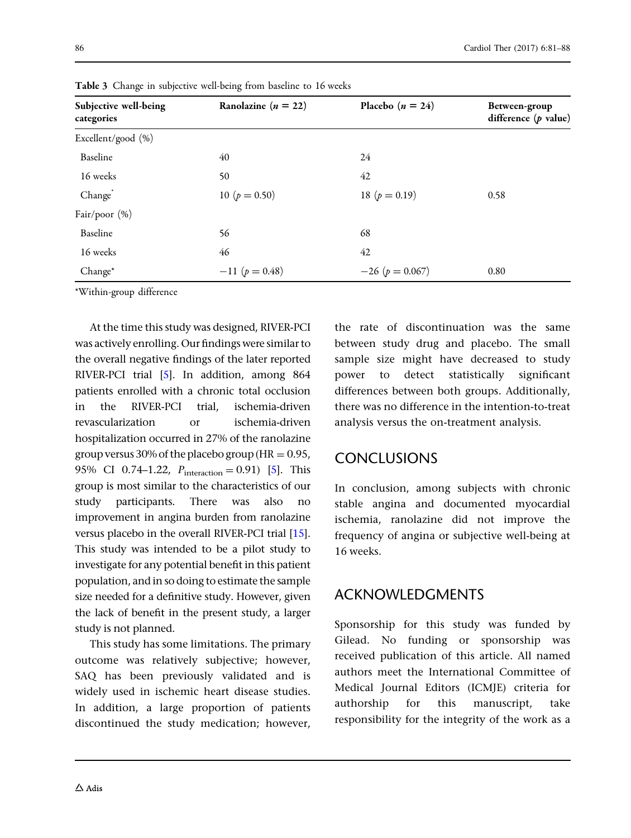| Subjective well-being<br>categories | Ranolazine ( $n = 22$ ) | Placebo $(n = 24)$    | Between-group<br>difference $(p$ value) |  |  |
|-------------------------------------|-------------------------|-----------------------|-----------------------------------------|--|--|
| Excellent/good (%)                  |                         |                       |                                         |  |  |
| Baseline                            | 40                      | 24                    |                                         |  |  |
| 16 weeks                            | 50                      | 42                    |                                         |  |  |
| Change                              | 10 ( $p = 0.50$ )       | 18 ( $p = 0.19$ )     | 0.58                                    |  |  |
| Fair/poor (%)                       |                         |                       |                                         |  |  |
| Baseline                            | 56                      | 68                    |                                         |  |  |
| 16 weeks                            | 46                      | 42                    |                                         |  |  |
| Change*                             | $-11$ ( $p = 0.48$ )    | $-26$ ( $p = 0.067$ ) | 0.80                                    |  |  |

<span id="page-7-0"></span>Table 3 Change in subjective well-being from baseline to 16 weeks

\*Within-group difference

At the time this study was designed, RIVER-PCI was actively enrolling. Our findings were similar to the overall negative findings of the later reported RIVER-PCI trial [\[5\]](#page-8-0). In addition, among 864 patients enrolled with a chronic total occlusion in the RIVER-PCI trial, ischemia-driven revascularization or ischemia-driven hospitalization occurred in 27% of the ranolazine group versus 30% of the placebo group ( $HR = 0.95$ , 9[5](#page-8-0)% CI 0.74–1.22,  $P_{\text{interaction}} = 0.91$  [5]. This group is most similar to the characteristics of our study participants. There was also no improvement in angina burden from ranolazine versus placebo in the overall RIVER-PCI trial [\[15](#page-9-0)]. This study was intended to be a pilot study to investigate for any potential benefit in this patient population, and in so doing to estimate the sample size needed for a definitive study. However, given the lack of benefit in the present study, a larger study is not planned.

This study has some limitations. The primary outcome was relatively subjective; however, SAQ has been previously validated and is widely used in ischemic heart disease studies. In addition, a large proportion of patients discontinued the study medication; however, the rate of discontinuation was the same between study drug and placebo. The small sample size might have decreased to study power to detect statistically significant differences between both groups. Additionally, there was no difference in the intention-to-treat analysis versus the on-treatment analysis.

## CONCLUSIONS

In conclusion, among subjects with chronic stable angina and documented myocardial ischemia, ranolazine did not improve the frequency of angina or subjective well-being at 16 weeks.

## ACKNOWLEDGMENTS

Sponsorship for this study was funded by Gilead. No funding or sponsorship was received publication of this article. All named authors meet the International Committee of Medical Journal Editors (ICMJE) criteria for authorship for this manuscript, take responsibility for the integrity of the work as a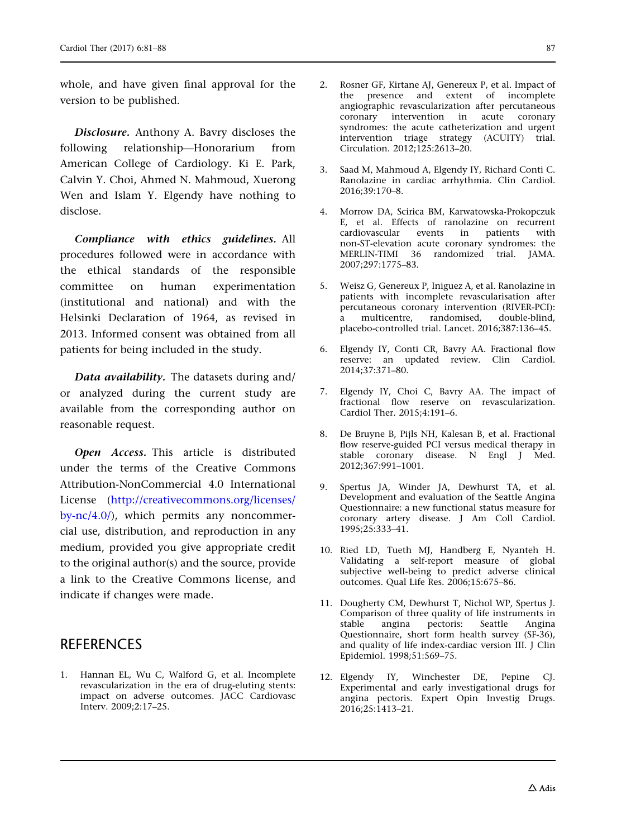<span id="page-8-0"></span>whole, and have given final approval for the version to be published.

Disclosure. Anthony A. Bavry discloses the following relationship—Honorarium from American College of Cardiology. Ki E. Park, Calvin Y. Choi, Ahmed N. Mahmoud, Xuerong Wen and Islam Y. Elgendy have nothing to disclose.

Compliance with ethics guidelines. All procedures followed were in accordance with the ethical standards of the responsible committee on human experimentation (institutional and national) and with the Helsinki Declaration of 1964, as revised in 2013. Informed consent was obtained from all patients for being included in the study.

Data availability. The datasets during and/ or analyzed during the current study are available from the corresponding author on reasonable request.

Open Access. This article is distributed under the terms of the Creative Commons Attribution-NonCommercial 4.0 International License ([http://creativecommons.org/licenses/](http://creativecommons.org/licenses/by-nc/4.0/) [by-nc/4.0/\)](http://creativecommons.org/licenses/by-nc/4.0/), which permits any noncommercial use, distribution, and reproduction in any medium, provided you give appropriate credit to the original author(s) and the source, provide a link to the Creative Commons license, and indicate if changes were made.

## **REFERENCES**

1. Hannan EL, Wu C, Walford G, et al. Incomplete revascularization in the era of drug-eluting stents: impact on adverse outcomes. JACC Cardiovasc Interv. 2009;2:17–25.

- 2. Rosner GF, Kirtane AJ, Genereux P, et al. Impact of the presence and extent of incomplete angiographic revascularization after percutaneous coronary intervention in acute coronary syndromes: the acute catheterization and urgent intervention triage strategy (ACUITY) trial. Circulation. 2012;125:2613–20.
- 3. Saad M, Mahmoud A, Elgendy IY, Richard Conti C. Ranolazine in cardiac arrhythmia. Clin Cardiol. 2016;39:170–8.
- 4. Morrow DA, Scirica BM, Karwatowska-Prokopczuk E, et al. Effects of ranolazine on recurrent cardiovascular events in patients with non-ST-elevation acute coronary syndromes: the MERLIN-TIMI 36 randomized trial. JAMA. 2007;297:1775–83.
- 5. Weisz G, Genereux P, Iniguez A, et al. Ranolazine in patients with incomplete revascularisation after percutaneous coronary intervention (RIVER-PCI): a multicentre, randomised, double-blind, placebo-controlled trial. Lancet. 2016;387:136–45.
- 6. Elgendy IY, Conti CR, Bavry AA. Fractional flow reserve: an updated review. Clin Cardiol. 2014;37:371–80.
- 7. Elgendy IY, Choi C, Bavry AA. The impact of fractional flow reserve on revascularization. Cardiol Ther. 2015;4:191–6.
- 8. De Bruyne B, Pijls NH, Kalesan B, et al. Fractional flow reserve-guided PCI versus medical therapy in stable coronary disease. N Engl J Med. 2012;367:991–1001.
- 9. Spertus JA, Winder JA, Dewhurst TA, et al. Development and evaluation of the Seattle Angina Questionnaire: a new functional status measure for coronary artery disease. J Am Coll Cardiol. 1995;25:333–41.
- 10. Ried LD, Tueth MJ, Handberg E, Nyanteh H. Validating a self-report measure of global subjective well-being to predict adverse clinical outcomes. Qual Life Res. 2006;15:675–86.
- 11. Dougherty CM, Dewhurst T, Nichol WP, Spertus J. Comparison of three quality of life instruments in<br>stable angina pectoris: Seattle Angina stable angina pectoris: Seattle Questionnaire, short form health survey (SF-36), and quality of life index-cardiac version III. J Clin Epidemiol. 1998;51:569–75.
- 12. Elgendy IY, Winchester DE, Pepine CJ. Experimental and early investigational drugs for angina pectoris. Expert Opin Investig Drugs. 2016;25:1413–21.